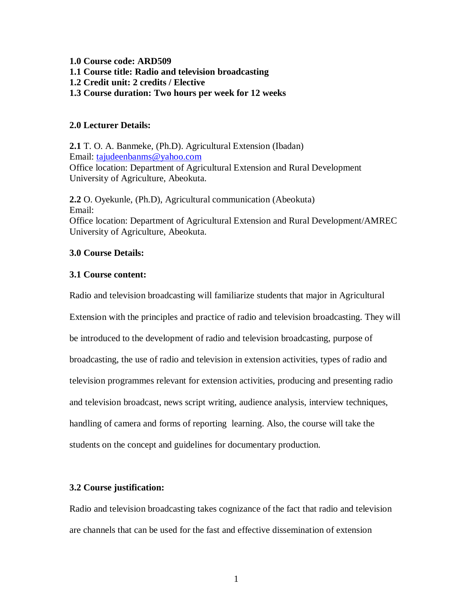**1.0 Course code: ARD509 1.1 Course title: Radio and television broadcasting 1.2 Credit unit: 2 credits / Elective 1.3 Course duration: Two hours per week for 12 weeks**

# **2.0 Lecturer Details:**

**2.1** T. O. A. Banmeke, (Ph.D). Agricultural Extension (Ibadan) Email: tajudeenbanms@yahoo.com Office location: Department of Agricultural Extension and Rural Development University of Agriculture, Abeokuta.

**2.2** O. Oyekunle, (Ph.D), Agricultural communication (Abeokuta) Email: Office location: Department of Agricultural Extension and Rural Development/AMREC University of Agriculture, Abeokuta.

# **3.0 Course Details:**

# **3.1 Course content:**

Radio and television broadcasting will familiarize students that major in Agricultural

Extension with the principles and practice of radio and television broadcasting. They will

be introduced to the development of radio and television broadcasting, purpose of

broadcasting, the use of radio and television in extension activities, types of radio and

television programmes relevant for extension activities, producing and presenting radio

and television broadcast, news script writing, audience analysis, interview techniques,

handling of camera and forms of reporting learning. Also, the course will take the

students on the concept and guidelines for documentary production.

# **3.2 Course justification:**

Radio and television broadcasting takes cognizance of the fact that radio and television are channels that can be used for the fast and effective dissemination of extension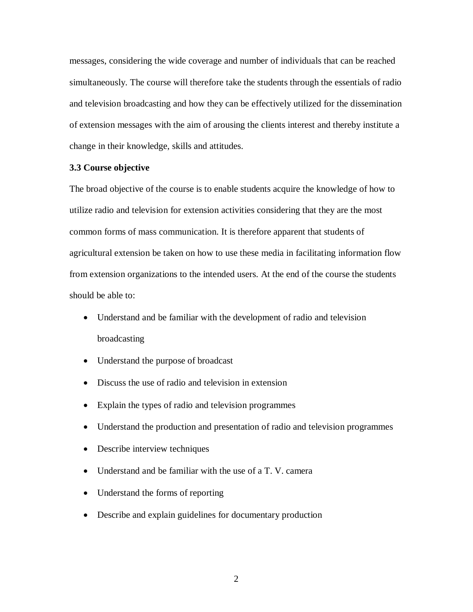messages, considering the wide coverage and number of individuals that can be reached simultaneously. The course will therefore take the students through the essentials of radio and television broadcasting and how they can be effectively utilized for the dissemination of extension messages with the aim of arousing the clients interest and thereby institute a change in their knowledge, skills and attitudes.

#### **3.3 Course objective**

The broad objective of the course is to enable students acquire the knowledge of how to utilize radio and television for extension activities considering that they are the most common forms of mass communication. It is therefore apparent that students of agricultural extension be taken on how to use these media in facilitating information flow from extension organizations to the intended users. At the end of the course the students should be able to:

- Understand and be familiar with the development of radio and television broadcasting
- Understand the purpose of broadcast
- Discuss the use of radio and television in extension
- Explain the types of radio and television programmes
- Understand the production and presentation of radio and television programmes
- Describe interview techniques
- Understand and be familiar with the use of a T. V. camera
- Understand the forms of reporting
- Describe and explain guidelines for documentary production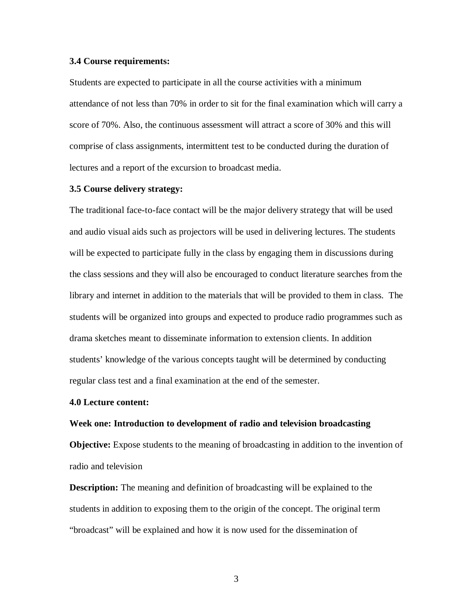#### **3.4 Course requirements:**

Students are expected to participate in all the course activities with a minimum attendance of not less than 70% in order to sit for the final examination which will carry a score of 70%. Also, the continuous assessment will attract a score of 30% and this will comprise of class assignments, intermittent test to be conducted during the duration of lectures and a report of the excursion to broadcast media.

### **3.5 Course delivery strategy:**

The traditional face-to-face contact will be the major delivery strategy that will be used and audio visual aids such as projectors will be used in delivering lectures. The students will be expected to participate fully in the class by engaging them in discussions during the class sessions and they will also be encouraged to conduct literature searches from the library and internet in addition to the materials that will be provided to them in class. The students will be organized into groups and expected to produce radio programmes such as drama sketches meant to disseminate information to extension clients. In addition students' knowledge of the various concepts taught will be determined by conducting regular class test and a final examination at the end of the semester.

#### **4.0 Lecture content:**

#### **Week one: Introduction to development of radio and television broadcasting**

**Objective:** Expose students to the meaning of broadcasting in addition to the invention of radio and television

**Description:** The meaning and definition of broadcasting will be explained to the students in addition to exposing them to the origin of the concept. The original term "broadcast" will be explained and how it is now used for the dissemination of

3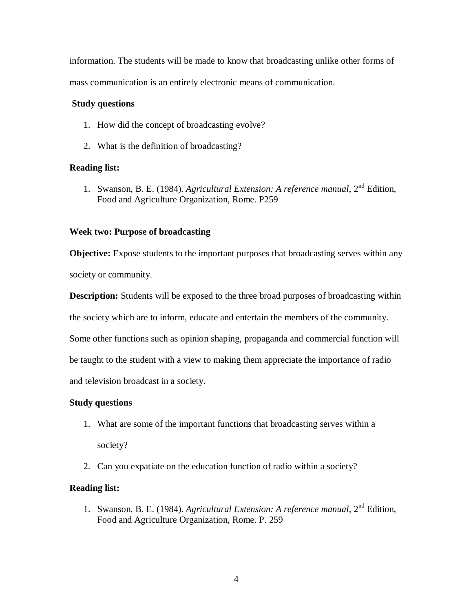information. The students will be made to know that broadcasting unlike other forms of mass communication is an entirely electronic means of communication.

# **Study questions**

- 1. How did the concept of broadcasting evolve?
- 2. What is the definition of broadcasting?

# **Reading list:**

1. Swanson, B. E. (1984). *Agricultural Extension: A reference manual*, 2nd Edition, Food and Agriculture Organization, Rome. P259

# **Week two: Purpose of broadcasting**

**Objective:** Expose students to the important purposes that broadcasting serves within any society or community.

**Description:** Students will be exposed to the three broad purposes of broadcasting within

the society which are to inform, educate and entertain the members of the community.

Some other functions such as opinion shaping, propaganda and commercial function will

be taught to the student with a view to making them appreciate the importance of radio

and television broadcast in a society.

# **Study questions**

- 1. What are some of the important functions that broadcasting serves within a society?
- 2. Can you expatiate on the education function of radio within a society?

# **Reading list:**

1. Swanson, B. E. (1984). *Agricultural Extension: A reference manual*, 2nd Edition, Food and Agriculture Organization, Rome. P. 259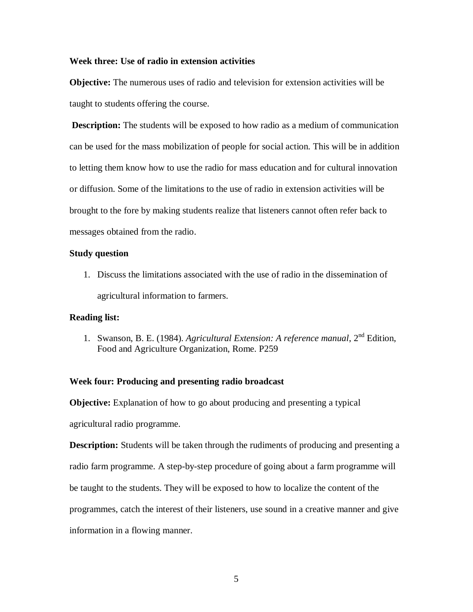#### **Week three: Use of radio in extension activities**

**Objective:** The numerous uses of radio and television for extension activities will be taught to students offering the course.

**Description:** The students will be exposed to how radio as a medium of communication can be used for the mass mobilization of people for social action. This will be in addition to letting them know how to use the radio for mass education and for cultural innovation or diffusion. Some of the limitations to the use of radio in extension activities will be brought to the fore by making students realize that listeners cannot often refer back to messages obtained from the radio.

#### **Study question**

1. Discuss the limitations associated with the use of radio in the dissemination of agricultural information to farmers.

### **Reading list:**

1. Swanson, B. E. (1984). *Agricultural Extension: A reference manual*, 2nd Edition, Food and Agriculture Organization, Rome. P259

#### **Week four: Producing and presenting radio broadcast**

**Objective:** Explanation of how to go about producing and presenting a typical agricultural radio programme.

**Description:** Students will be taken through the rudiments of producing and presenting a radio farm programme. A step-by-step procedure of going about a farm programme will be taught to the students. They will be exposed to how to localize the content of the programmes, catch the interest of their listeners, use sound in a creative manner and give information in a flowing manner.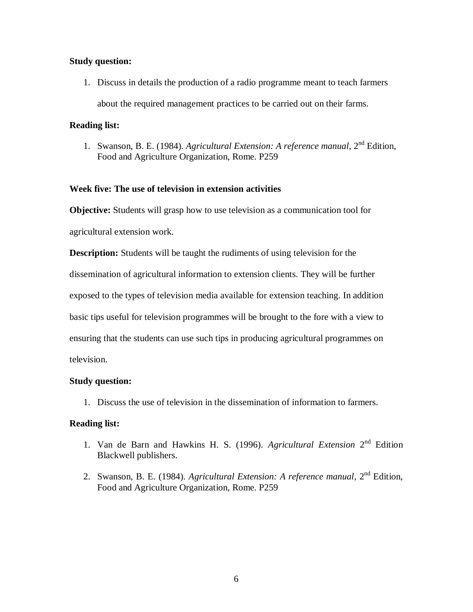### **Study question:**

1. Discuss in details the production of a radio programme meant to teach farmers

about the required management practices to be carried out on their farms.

### **Reading list:**

1. Swanson, B. E. (1984). *Agricultural Extension: A reference manual*, 2nd Edition, Food and Agriculture Organization, Rome. P259

# **Week five: The use of television in extension activities**

**Objective:** Students will grasp how to use television as a communication tool for agricultural extension work.

**Description:** Students will be taught the rudiments of using television for the

dissemination of agricultural information to extension clients. They will be further

exposed to the types of television media available for extension teaching. In addition

basic tips useful for television programmes will be brought to the fore with a view to

ensuring that the students can use such tips in producing agricultural programmes on

television.

# **Study question:**

1. Discuss the use of television in the dissemination of information to farmers.

# **Reading list:**

- 1. Van de Barn and Hawkins H. S. (1996). *Agricultural Extension* 2<sup>nd</sup> Edition Blackwell publishers.
- 2. Swanson, B. E. (1984). *Agricultural Extension: A reference manual*, 2nd Edition, Food and Agriculture Organization, Rome. P259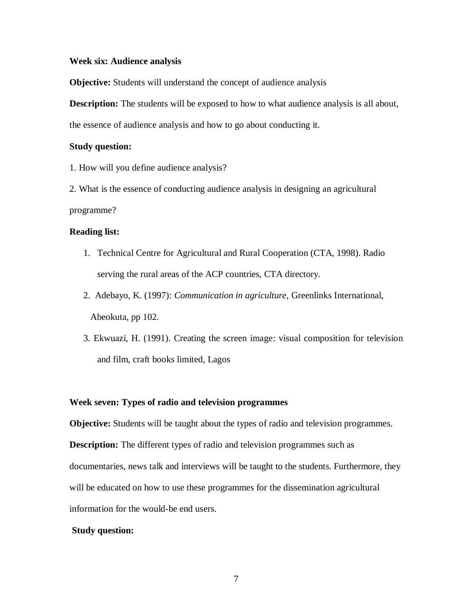#### **Week six: Audience analysis**

**Objective:** Students will understand the concept of audience analysis

**Description:** The students will be exposed to how to what audience analysis is all about,

the essence of audience analysis and how to go about conducting it.

#### **Study question:**

1. How will you define audience analysis?

2. What is the essence of conducting audience analysis in designing an agricultural programme?

### **Reading list:**

- 1. Technical Centre for Agricultural and Rural Cooperation (CTA, 1998). Radio serving the rural areas of the ACP countries, CTA directory.
- 2. Adebayo, K. (1997): *Communication in agriculture*, Greenlinks International, Abeokuta, pp 102.
- 3. Ekwuazi, H. (1991). Creating the screen image: visual composition for television and film, craft books limited, Lagos

### **Week seven: Types of radio and television programmes**

**Objective:** Students will be taught about the types of radio and television programmes.

**Description:** The different types of radio and television programmes such as documentaries, news talk and interviews will be taught to the students. Furthermore, they will be educated on how to use these programmes for the dissemination agricultural information for the would-be end users.

#### **Study question:**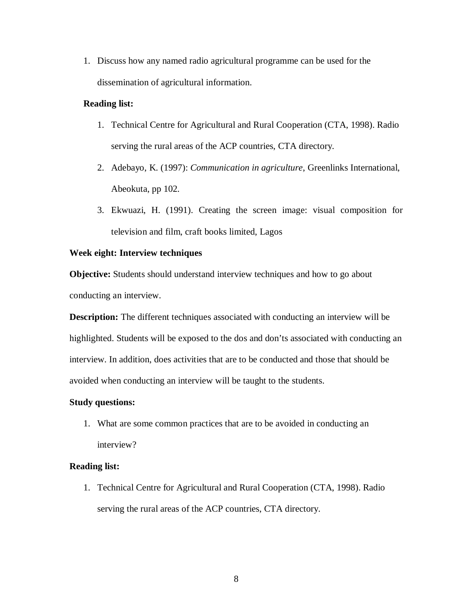1. Discuss how any named radio agricultural programme can be used for the dissemination of agricultural information.

### **Reading list:**

- 1. Technical Centre for Agricultural and Rural Cooperation (CTA, 1998). Radio serving the rural areas of the ACP countries, CTA directory.
- 2. Adebayo, K. (1997): *Communication in agriculture*, Greenlinks International, Abeokuta, pp 102.
- 3. Ekwuazi, H. (1991). Creating the screen image: visual composition for television and film, craft books limited, Lagos

### **Week eight: Interview techniques**

**Objective:** Students should understand interview techniques and how to go about conducting an interview.

**Description:** The different techniques associated with conducting an interview will be highlighted. Students will be exposed to the dos and don'ts associated with conducting an interview. In addition, does activities that are to be conducted and those that should be avoided when conducting an interview will be taught to the students.

### **Study questions:**

1. What are some common practices that are to be avoided in conducting an interview?

### **Reading list:**

1. Technical Centre for Agricultural and Rural Cooperation (CTA, 1998). Radio serving the rural areas of the ACP countries, CTA directory.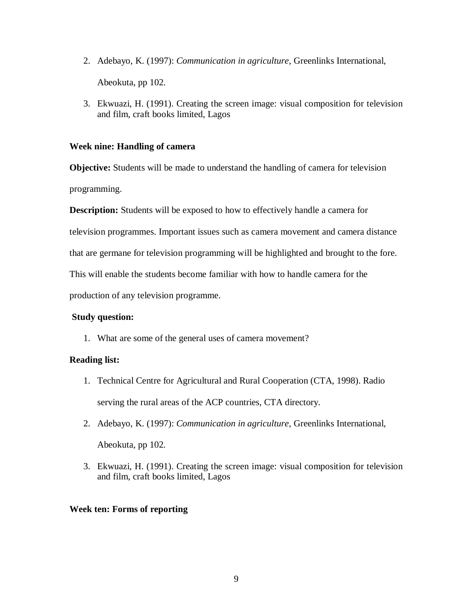- 2. Adebayo, K. (1997): *Communication in agriculture*, Greenlinks International, Abeokuta, pp 102.
- 3. Ekwuazi, H. (1991). Creating the screen image: visual composition for television and film, craft books limited, Lagos

# **Week nine: Handling of camera**

**Objective:** Students will be made to understand the handling of camera for television programming.

**Description:** Students will be exposed to how to effectively handle a camera for

television programmes. Important issues such as camera movement and camera distance

that are germane for television programming will be highlighted and brought to the fore.

This will enable the students become familiar with how to handle camera for the

production of any television programme.

# **Study question:**

1. What are some of the general uses of camera movement?

# **Reading list:**

- 1. Technical Centre for Agricultural and Rural Cooperation (CTA, 1998). Radio serving the rural areas of the ACP countries, CTA directory.
- 2. Adebayo, K. (1997): *Communication in agriculture*, Greenlinks International, Abeokuta, pp 102.
- 3. Ekwuazi, H. (1991). Creating the screen image: visual composition for television and film, craft books limited, Lagos

# **Week ten: Forms of reporting**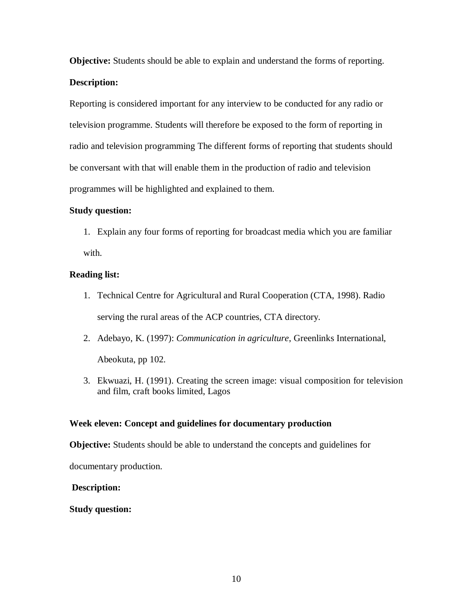**Objective:** Students should be able to explain and understand the forms of reporting. **Description:**

Reporting is considered important for any interview to be conducted for any radio or television programme. Students will therefore be exposed to the form of reporting in radio and television programming The different forms of reporting that students should be conversant with that will enable them in the production of radio and television programmes will be highlighted and explained to them.

# **Study question:**

1. Explain any four forms of reporting for broadcast media which you are familiar with.

# **Reading list:**

- 1. Technical Centre for Agricultural and Rural Cooperation (CTA, 1998). Radio serving the rural areas of the ACP countries, CTA directory.
- 2. Adebayo, K. (1997): *Communication in agriculture*, Greenlinks International, Abeokuta, pp 102.
- 3. Ekwuazi, H. (1991). Creating the screen image: visual composition for television and film, craft books limited, Lagos

# **Week eleven: Concept and guidelines for documentary production**

**Objective:** Students should be able to understand the concepts and guidelines for

documentary production.

# **Description:**

# **Study question:**